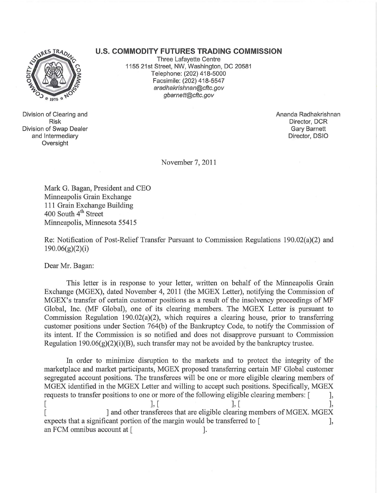## **U.S. COMMODITY FUTURES TRADING COMMISSION**



Division of Clearing and Risk Division of Swap Dealer and Intermediary Oversight

Three Lafayette Centre 1155 21st Street, NW, Washington, DC 20581 Telephone: (202) 418-5000 Facsimile: (202) 418-5547 aradhakrishnan@cftc.gov gbarnett@cftc.gov

> Ananda Radhakrishnan Director, DCR Gary Barnett Director, DSIO

November 7,2011

Mark G. Bagan, President and CEO Minneapolis Grain Exchange 111 Grain Exchange Building 400 South 4<sup>th</sup> Street Minneapolis, Minnesota 55415

Re: Notification of Post-Relief Transfer Pursuant to Commission Regulations 190.02(a)(2) and 190.06(g)(2)(i)

Dear Mr. Bagan:

This letter is in response to your letter, written on behalf of the Minneapolis Grain Exchange (MGEX), dated November 4, 2011 (the MGEX Letter), notifying the Commission of MGEX's transfer of certain customer positions as a result of the insolvency proceedings of MF Global, Inc. (MF Global), one of its clearing members. The MGEX Letter is pursuant to Commission Regulation 190.02(a)(2), which requires a clearing house, prior to transferring customer positions under Section 764(b) of the Bankruptcy Code, to notify the Commission of its intent. If the Commission is so notified and does not disapprove pursuant to Commission Regulation 190.06 $(g)(2)(i)(B)$ , such transfer may not be avoided by the bankruptcy trustee.

In order to minimize disruption to the markets and to protect the integrity of the marketplace and market participants, MGEX proposed transferring certain MF Global customer segregated account positions. The transferees will be one or more eligible clearing members of MGEX identified in the MGEX Letter and willing to accept such positions. Specifically, MGEX requests to transfer positions to one or more of the following eligible clearing members:  $\lceil \cdot \cdot \cdot \rceil$ ,  $\left[ \begin{array}{ccc} 1, & 1, & 1, & 1 \end{array} \right]$ [  $\blacksquare$  and other transferees that are eligible clearing members of MGEX. MGEX expects that a significant portion of the margin would be transferred to [ an FCM omnibus account at [